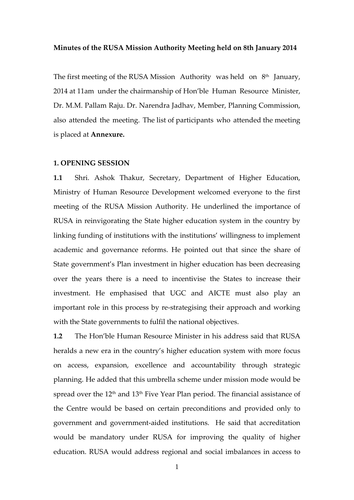#### **Minutes of the RUSA Mission Authority Meeting held on 8th January 2014**

The first meeting of the RUSA Mission Authority was held on  $8<sup>th</sup>$  January, 2014 at 11am under the chairmanship of Hon'ble Human Resource Minister, Dr. M.M. Pallam Raju. Dr. Narendra Jadhav, Member, Planning Commission, also attended the meeting. The list of participants who attended the meeting is placed at **Annexure.**

#### **1. OPENING SESSION**

**1.1** Shri. Ashok Thakur, Secretary, Department of Higher Education, Ministry of Human Resource Development welcomed everyone to the first meeting of the RUSA Mission Authority. He underlined the importance of RUSA in reinvigorating the State higher education system in the country by linking funding of institutions with the institutions' willingness to implement academic and governance reforms. He pointed out that since the share of State government's Plan investment in higher education has been decreasing over the years there is a need to incentivise the States to increase their investment. He emphasised that UGC and AICTE must also play an important role in this process by re‐strategising their approach and working with the State governments to fulfil the national objectives.

**1.2** The Hon'ble Human Resource Minister in his address said that RUSA heralds a new era in the country's higher education system with more focus on access, expansion, excellence and accountability through strategic planning. He added that this umbrella scheme under mission mode would be spread over the 12<sup>th</sup> and 13<sup>th</sup> Five Year Plan period. The financial assistance of the Centre would be based on certain preconditions and provided only to government and government‐aided institutions. He said that accreditation would be mandatory under RUSA for improving the quality of higher education. RUSA would address regional and social imbalances in access to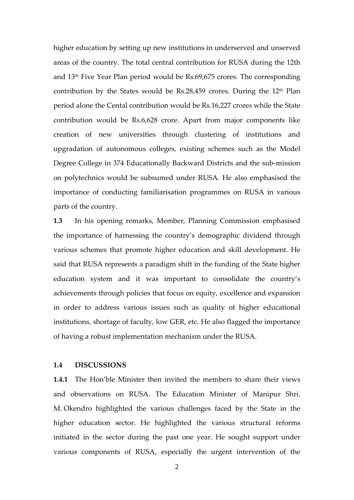higher education by setting up new institutions in underserved and unserved areas of the country. The total central contribution for RUSA during the 12th and 13th Five Year Plan period would be Rs.69,675 crores. The corresponding contribution by the States would be  $Rs.28,459$  crores. During the  $12<sup>th</sup>$  Plan period alone the Cental contribution would be Rs.16,227 crores while the State contribution would be Rs.6,628 crore. Apart from major components like creation of new universities through clustering of institutions and upgradation of autonomous colleges, existing schemes such as the Model Degree College in 374 Educationally Backward Districts and the sub‐mission on polytechnics would be subsumed under RUSA. He also emphasised the importance of conducting familiarisation programmes on RUSA in various parts of the country.

**1.3** In his opening remarks, Member, Planning Commission emphasised the importance of harnessing the country's demographic dividend through various schemes that promote higher education and skill development. He said that RUSA represents a paradigm shift in the funding of the State higher education system and it was important to consolidate the country's achievements through policies that focus on equity, excellence and expansion in order to address various issues such as quality of higher educational institutions, shortage of faculty, low GER, etc. He also flagged the importance of having a robust implementation mechanism under the RUSA.

#### **1.4 DISCUSSIONS**

**1.4.1** The Hon'ble Minister then invited the members to share their views and observations on RUSA. The Education Minister of Manipur Shri. M. Okendro highlighted the various challenges faced by the State in the higher education sector. He highlighted the various structural reforms initiated in the sector during the past one year. He sought support under various components of RUSA, especially the urgent intervention of the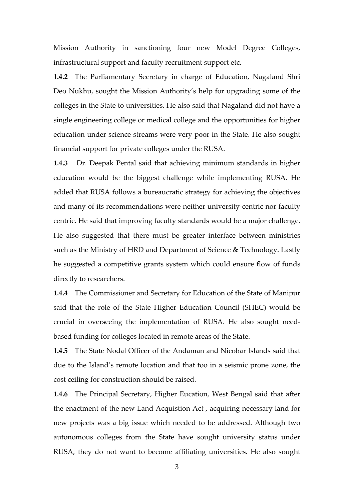Mission Authority in sanctioning four new Model Degree Colleges, infrastructural support and faculty recruitment support etc.

**1.4.2** The Parliamentary Secretary in charge of Education, Nagaland Shri Deo Nukhu, sought the Mission Authority's help for upgrading some of the colleges in the State to universities. He also said that Nagaland did not have a single engineering college or medical college and the opportunities for higher education under science streams were very poor in the State. He also sought financial support for private colleges under the RUSA.

**1.4.3** Dr. Deepak Pental said that achieving minimum standards in higher education would be the biggest challenge while implementing RUSA. He added that RUSA follows a bureaucratic strategy for achieving the objectives and many of its recommendations were neither university‐centric nor faculty centric. He said that improving faculty standards would be a major challenge. He also suggested that there must be greater interface between ministries such as the Ministry of HRD and Department of Science & Technology. Lastly he suggested a competitive grants system which could ensure flow of funds directly to researchers.

**1.4.4** The Commissioner and Secretary for Education of the State of Manipur said that the role of the State Higher Education Council (SHEC) would be crucial in overseeing the implementation of RUSA. He also sought need‐ based funding for colleges located in remote areas of the State.

**1.4.5** The State Nodal Officer of the Andaman and Nicobar Islands said that due to the Island's remote location and that too in a seismic prone zone, the cost ceiling for construction should be raised.

**1.4.6** The Principal Secretary, Higher Eucation, West Bengal said that after the enactment of the new Land Acquistion Act , acquiring necessary land for new projects was a big issue which needed to be addressed. Although two autonomous colleges from the State have sought university status under RUSA, they do not want to become affiliating universities. He also sought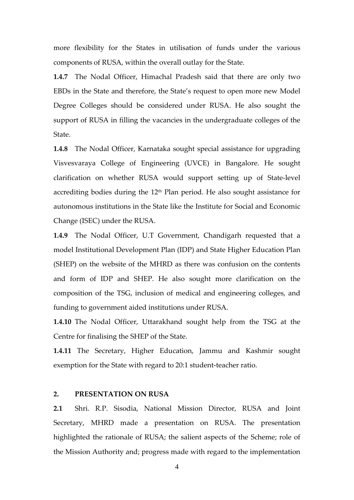more flexibility for the States in utilisation of funds under the various components of RUSA, within the overall outlay for the State.

**1.4.7** The Nodal Officer, Himachal Pradesh said that there are only two EBDs in the State and therefore, the State's request to open more new Model Degree Colleges should be considered under RUSA. He also sought the support of RUSA in filling the vacancies in the undergraduate colleges of the State.

**1.4.8** The Nodal Officer, Karnataka sought special assistance for upgrading Visvesvaraya College of Engineering (UVCE) in Bangalore. He sought clarification on whether RUSA would support setting up of State‐level accrediting bodies during the 12<sup>th</sup> Plan period. He also sought assistance for autonomous institutions in the State like the Institute for Social and Economic Change (ISEC) under the RUSA.

**1.4.9** The Nodal Officer, U.T Government, Chandigarh requested that a model Institutional Development Plan (IDP) and State Higher Education Plan (SHEP) on the website of the MHRD as there was confusion on the contents and form of IDP and SHEP. He also sought more clarification on the composition of the TSG, inclusion of medical and engineering colleges, and funding to government aided institutions under RUSA.

**1.4.10** The Nodal Officer, Uttarakhand sought help from the TSG at the Centre for finalising the SHEP of the State.

**1.4.11** The Secretary, Higher Education, Jammu and Kashmir sought exemption for the State with regard to 20:1 student-teacher ratio.

## **2. PRESENTATION ON RUSA**

**2.1** Shri. R.P. Sisodia, National Mission Director, RUSA and Joint Secretary, MHRD made a presentation on RUSA. The presentation highlighted the rationale of RUSA; the salient aspects of the Scheme; role of the Mission Authority and; progress made with regard to the implementation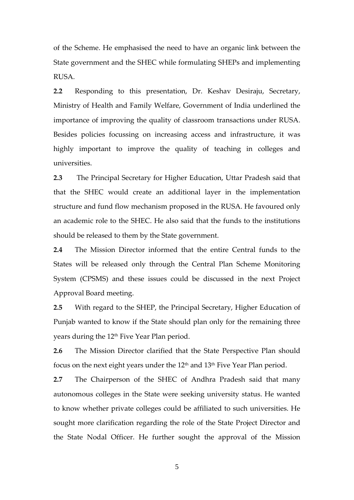of the Scheme. He emphasised the need to have an organic link between the State government and the SHEC while formulating SHEPs and implementing RUSA.

**2.2** Responding to this presentation, Dr. Keshav Desiraju, Secretary, Ministry of Health and Family Welfare, Government of India underlined the importance of improving the quality of classroom transactions under RUSA. Besides policies focussing on increasing access and infrastructure, it was highly important to improve the quality of teaching in colleges and universities.

**2.3** The Principal Secretary for Higher Education, Uttar Pradesh said that that the SHEC would create an additional layer in the implementation structure and fund flow mechanism proposed in the RUSA. He favoured only an academic role to the SHEC. He also said that the funds to the institutions should be released to them by the State government.

**2.4** The Mission Director informed that the entire Central funds to the States will be released only through the Central Plan Scheme Monitoring System (CPSMS) and these issues could be discussed in the next Project Approval Board meeting.

**2.5** With regard to the SHEP, the Principal Secretary, Higher Education of Punjab wanted to know if the State should plan only for the remaining three years during the 12<sup>th</sup> Five Year Plan period.

**2.6** The Mission Director clarified that the State Perspective Plan should focus on the next eight years under the  $12<sup>th</sup>$  and  $13<sup>th</sup>$  Five Year Plan period.

**2.7** The Chairperson of the SHEC of Andhra Pradesh said that many autonomous colleges in the State were seeking university status. He wanted to know whether private colleges could be affiliated to such universities. He sought more clarification regarding the role of the State Project Director and the State Nodal Officer. He further sought the approval of the Mission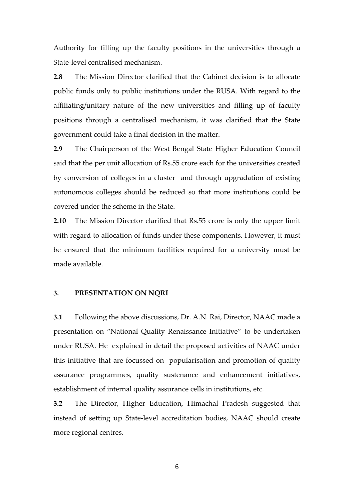Authority for filling up the faculty positions in the universities through a State‐level centralised mechanism.

**2.8** The Mission Director clarified that the Cabinet decision is to allocate public funds only to public institutions under the RUSA. With regard to the affiliating/unitary nature of the new universities and filling up of faculty positions through a centralised mechanism, it was clarified that the State government could take a final decision in the matter.

**2.9** The Chairperson of the West Bengal State Higher Education Council said that the per unit allocation of Rs.55 crore each for the universities created by conversion of colleges in a cluster and through upgradation of existing autonomous colleges should be reduced so that more institutions could be covered under the scheme in the State.

**2.10** The Mission Director clarified that Rs.55 crore is only the upper limit with regard to allocation of funds under these components. However, it must be ensured that the minimum facilities required for a university must be made available.

## **3. PRESENTATION ON NQRI**

**3.1** Following the above discussions, Dr. A.N. Rai, Director, NAAC made a presentation on "National Quality Renaissance Initiative" to be undertaken under RUSA. He explained in detail the proposed activities of NAAC under this initiative that are focussed on popularisation and promotion of quality assurance programmes, quality sustenance and enhancement initiatives, establishment of internal quality assurance cells in institutions, etc.

**3.2** The Director, Higher Education, Himachal Pradesh suggested that instead of setting up State‐level accreditation bodies, NAAC should create more regional centres.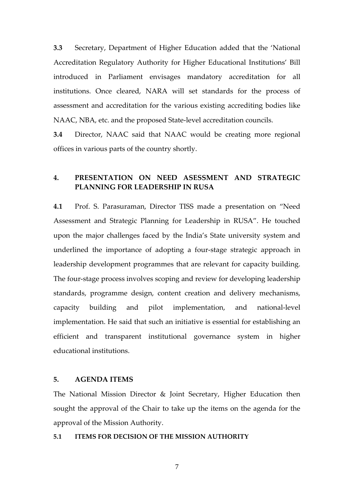**3.3** Secretary, Department of Higher Education added that the 'National Accreditation Regulatory Authority for Higher Educational Institutions' Bill introduced in Parliament envisages mandatory accreditation for all institutions. Once cleared, NARA will set standards for the process of assessment and accreditation for the various existing accrediting bodies like NAAC, NBA, etc. and the proposed State‐level accreditation councils.

**3.4** Director, NAAC said that NAAC would be creating more regional offices in various parts of the country shortly.

## **4. PRESENTATION ON NEED ASESSMENT AND STRATEGIC PLANNING FOR LEADERSHIP IN RUSA**

**4.1** Prof. S. Parasuraman, Director TISS made a presentation on "Need Assessment and Strategic Planning for Leadership in RUSA". He touched upon the major challenges faced by the India's State university system and underlined the importance of adopting a four‐stage strategic approach in leadership development programmes that are relevant for capacity building. The four-stage process involves scoping and review for developing leadership standards, programme design, content creation and delivery mechanisms, capacity building and pilot implementation, and national‐level implementation. He said that such an initiative is essential for establishing an efficient and transparent institutional governance system in higher educational institutions.

## **5. AGENDA ITEMS**

The National Mission Director & Joint Secretary, Higher Education then sought the approval of the Chair to take up the items on the agenda for the approval of the Mission Authority.

#### **5.1 ITEMS FOR DECISION OF THE MISSION AUTHORITY**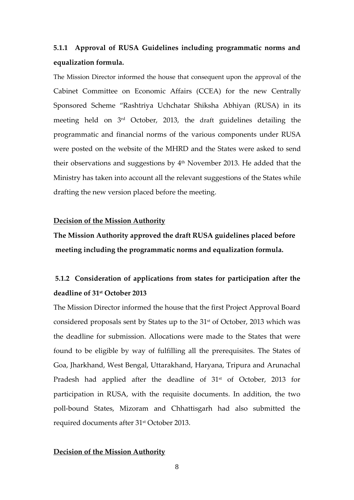# **5.1.1 Approval of RUSA Guidelines including programmatic norms and equalization formula.**

The Mission Director informed the house that consequent upon the approval of the Cabinet Committee on Economic Affairs (CCEA) for the new Centrally Sponsored Scheme "Rashtriya Uchchatar Shiksha Abhiyan (RUSA) in its meeting held on 3rd October, 2013, the draft guidelines detailing the programmatic and financial norms of the various components under RUSA were posted on the website of the MHRD and the States were asked to send their observations and suggestions by 4th November 2013. He added that the Ministry has taken into account all the relevant suggestions of the States while drafting the new version placed before the meeting.

### **Decision of the Mission Authority**

**The Mission Authority approved the draft RUSA guidelines placed before meeting including the programmatic norms and equalization formula.**

# **5.1.2 Consideration of applications from states for participation after the deadline of 31st October 2013**

The Mission Director informed the house that the first Project Approval Board considered proposals sent by States up to the 31st of October, 2013 which was the deadline for submission. Allocations were made to the States that were found to be eligible by way of fulfilling all the prerequisites. The States of Goa, Jharkhand, West Bengal, Uttarakhand, Haryana, Tripura and Arunachal Pradesh had applied after the deadline of 31<sup>st</sup> of October, 2013 for participation in RUSA, with the requisite documents. In addition, the two poll‐bound States, Mizoram and Chhattisgarh had also submitted the required documents after 31st October 2013.

#### **Decision of the Mission Authority**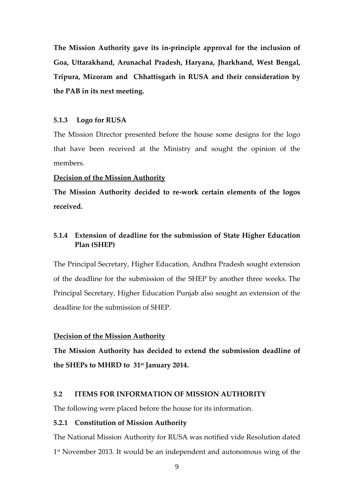**The Mission Authority gave its in‐principle approval for the inclusion of Goa, Uttarakhand, Arunachal Pradesh, Haryana, Jharkhand, West Bengal, Tripura, Mizoram and Chhattisgarh in RUSA and their consideration by the PAB in its next meeting.**

#### **5.1.3 Logo for RUSA**

The Mission Director presented before the house some designs for the logo that have been received at the Ministry and sought the opinion of the members.

#### **Decision of the Mission Authority**

**The Mission Authority decided to re‐work certain elements of the logos received.**

## **5.1.4 Extension of deadline for the submission of State Higher Education Plan (SHEP)**

The Principal Secretary, Higher Education, Andhra Pradesh sought extension of the deadline for the submission of the SHEP by another three weeks. The Principal Secretary, Higher Education Punjab also sought an extension of the deadline for the submission of SHEP.

#### **Decision of the Mission Authority**

**The Mission Authority has decided to extend the submission deadline of the SHEPs to MHRD to 31st January 2014.**

## **5.2 ITEMS FOR INFORMATION OF MISSION AUTHORITY**

The following were placed before the house for its information.

#### **5.2.1 Constitution of Mission Authority**

The National Mission Authority for RUSA was notified vide Resolution dated 1<sup>st</sup> November 2013. It would be an independent and autonomous wing of the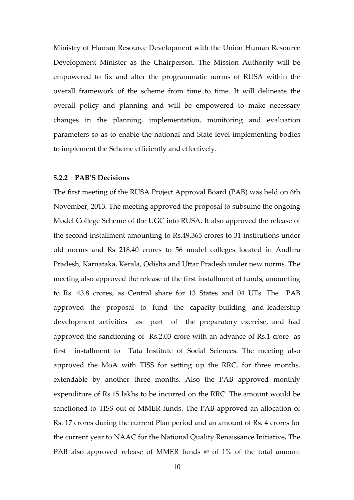Ministry of Human Resource Development with the Union Human Resource Development Minister as the Chairperson. The Mission Authority will be empowered to fix and alter the programmatic norms of RUSA within the overall framework of the scheme from time to time. It will delineate the overall policy and planning and will be empowered to make necessary changes in the planning, implementation, monitoring and evaluation parameters so as to enable the national and State level implementing bodies to implement the Scheme efficiently and effectively.

### **5.2.2 PAB'S Decisions**

The first meeting of the RUSA Project Approval Board (PAB) was held on 6th November, 2013. The meeting approved the proposal to subsume the ongoing Model College Scheme of the UGC into RUSA. It also approved the release of the second installment amounting to Rs.49.365 crores to 31 institutions under old norms and Rs 218.40 crores to 56 model colleges located in Andhra Pradesh, Karnataka, Kerala, Odisha and Uttar Pradesh under new norms. The meeting also approved the release of the first installment of funds, amounting to Rs. 43.8 crores, as Central share for 13 States and 04 UTs. The PAB approved the proposal to fund the capacity building and leadership development activities as part of the preparatory exercise, and had approved the sanctioning of Rs.2.03 crore with an advance of Rs.1 crore as first installment to Tata Institute of Social Sciences. The meeting also approved the MoA with TISS for setting up the RRC, for three months, extendable by another three months. Also the PAB approved monthly expenditure of Rs.15 lakhs to be incurred on the RRC. The amount would be sanctioned to TISS out of MMER funds. The PAB approved an allocation of Rs. 17 crores during the current Plan period and an amount of Rs. 4 crores for the current year to NAAC for the National Quality Renaissance Initiative**.** The PAB also approved release of MMER funds @ of 1% of the total amount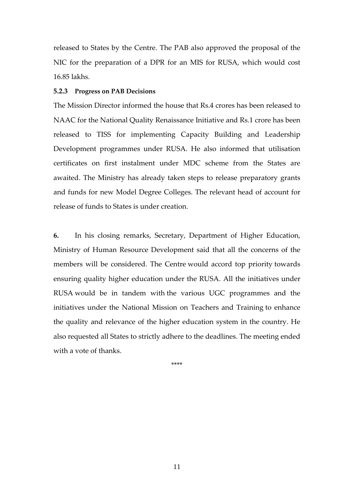released to States by the Centre. The PAB also approved the proposal of the NIC for the preparation of a DPR for an MIS for RUSA, which would cost 16.85 lakhs.

#### **5.2.3 Progress on PAB Decisions**

The Mission Director informed the house that Rs.4 crores has been released to NAAC for the National Quality Renaissance Initiative and Rs.1 crore has been released to TISS for implementing Capacity Building and Leadership Development programmes under RUSA. He also informed that utilisation certificates on first instalment under MDC scheme from the States are awaited. The Ministry has already taken steps to release preparatory grants and funds for new Model Degree Colleges. The relevant head of account for release of funds to States is under creation.

**6.** In his closing remarks, Secretary, Department of Higher Education, Ministry of Human Resource Development said that all the concerns of the members will be considered. The Centre would accord top priority towards ensuring quality higher education under the RUSA. All the initiatives under RUSA would be in tandem with the various UGC programmes and the initiatives under the National Mission on Teachers and Training to enhance the quality and relevance of the higher education system in the country. He also requested all States to strictly adhere to the deadlines. The meeting ended with a vote of thanks.

\*\*\*\*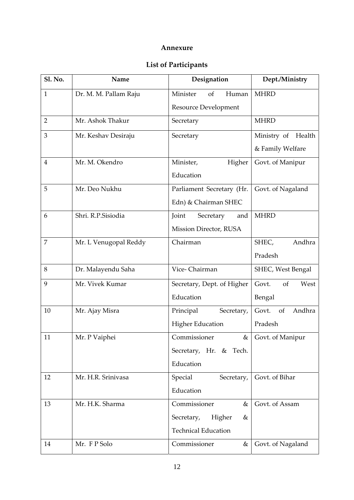## **Annexure**

# **List of Participants**

| <b>Sl. No.</b> | Name                  | Designation                        | Dept./Ministry        |
|----------------|-----------------------|------------------------------------|-----------------------|
| $\mathbf{1}$   | Dr. M. M. Pallam Raju | Minister<br>Human<br><sub>of</sub> | <b>MHRD</b>           |
|                |                       | <b>Resource Development</b>        |                       |
| $\overline{2}$ | Mr. Ashok Thakur      | Secretary                          | <b>MHRD</b>           |
| 3              | Mr. Keshav Desiraju   | Secretary                          | Ministry of Health    |
|                |                       |                                    | & Family Welfare      |
| $\overline{4}$ | Mr. M. Okendro        | Minister,<br>Higher                | Govt. of Manipur      |
|                |                       | Education                          |                       |
| 5              | Mr. Deo Nukhu         | Parliament Secretary (Hr.          | Govt. of Nagaland     |
|                |                       | Edn) & Chairman SHEC               |                       |
| 6              | Shri, R.P.Sisiodia    | Joint<br>Secretary<br>and          | <b>MHRD</b>           |
|                |                       | Mission Director, RUSA             |                       |
| 7              | Mr. L Venugopal Reddy | Chairman                           | SHEC,<br>Andhra       |
|                |                       |                                    | Pradesh               |
| 8              | Dr. Malayendu Saha    | Vice-Chairman                      | SHEC, West Bengal     |
| 9              | Mr. Vivek Kumar       | Secretary, Dept. of Higher         | Govt.<br>of<br>West   |
|                |                       | Education                          | Bengal                |
| 10             | Mr. Ajay Misra        | Principal<br>Secretary,            | Andhra<br>Govt.<br>of |
|                |                       | <b>Higher Education</b>            | Pradesh               |
| 11             | Mr. P Vaiphei         | Commissioner                       | & Govt. of Manipur    |
|                |                       | Secretary, Hr. & Tech.             |                       |
|                |                       | Education                          |                       |
| 12             | Mr. H.R. Srinivasa    | Special<br>Secretary,              | Govt. of Bihar        |
|                |                       | Education                          |                       |
| 13             | Mr. H.K. Sharma       | Commissioner<br>$\&$               | Govt. of Assam        |
|                |                       | Secretary,<br>Higher<br>&          |                       |
|                |                       | <b>Technical Education</b>         |                       |
| 14             | Mr. F P Solo          | Commissioner<br>&                  | Govt. of Nagaland     |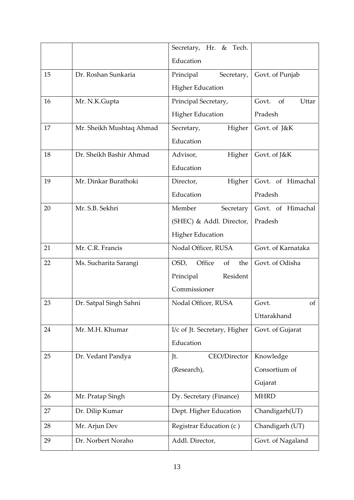|    |                          | Secretary, Hr. &<br>Tech.    |                                 |
|----|--------------------------|------------------------------|---------------------------------|
|    |                          | Education                    |                                 |
| 15 | Dr. Roshan Sunkaria      | Principal<br>Secretary,      | Govt. of Punjab                 |
|    |                          | <b>Higher Education</b>      |                                 |
| 16 | Mr. N.K.Gupta            | Principal Secretary,         | Govt.<br><sub>of</sub><br>Uttar |
|    |                          | <b>Higher Education</b>      | Pradesh                         |
| 17 | Mr. Sheikh Mushtaq Ahmad | Secretary,<br>Higher         | Govt. of J&K                    |
|    |                          | Education                    |                                 |
| 18 | Dr. Sheikh Bashir Ahmad  | Advisor,<br>Higher           | Govt. of J&K                    |
|    |                          | Education                    |                                 |
| 19 | Mr. Dinkar Burathoki     | Director,<br>Higher          | Govt. of Himachal               |
|    |                          | Education                    | Pradesh                         |
| 20 | Mr. S.B. Sekhri          | Member<br>Secretary          | Govt. of Himachal               |
|    |                          | (SHEC) & Addl. Director,     | Pradesh                         |
|    |                          | <b>Higher Education</b>      |                                 |
| 21 | Mr. C.R. Francis         | Nodal Officer, RUSA          | Govt. of Karnataka              |
| 22 | Ms. Sucharita Sarangi    | OSD,<br>Office<br>of<br>the  | Govt. of Odisha                 |
|    |                          | Principal<br>Resident        |                                 |
|    |                          | Commissioner                 |                                 |
| 23 | Dr. Satpal Singh Sahni   | Nodal Officer, RUSA          | Govt.<br>of                     |
|    |                          |                              | Uttarakhand                     |
| 24 | Mr. M.H. Khumar          | I/c of Jt. Secretary, Higher | Govt. of Gujarat                |
|    |                          | Education                    |                                 |
| 25 | Dr. Vedant Pandya        | CEO/Director<br>Jt.          | Knowledge                       |
|    |                          | (Research),                  | Consortium of                   |
|    |                          |                              | Gujarat                         |
| 26 | Mr. Pratap Singh         | Dy. Secretary (Finance)      | <b>MHRD</b>                     |
| 27 | Dr. Dilip Kumar          | Dept. Higher Education       | Chandigarh(UT)                  |
| 28 | Mr. Arjun Dev            | Registrar Education (c)      | Chandigarh (UT)                 |
| 29 | Dr. Norbert Noraho       | Addl. Director,              | Govt. of Nagaland               |